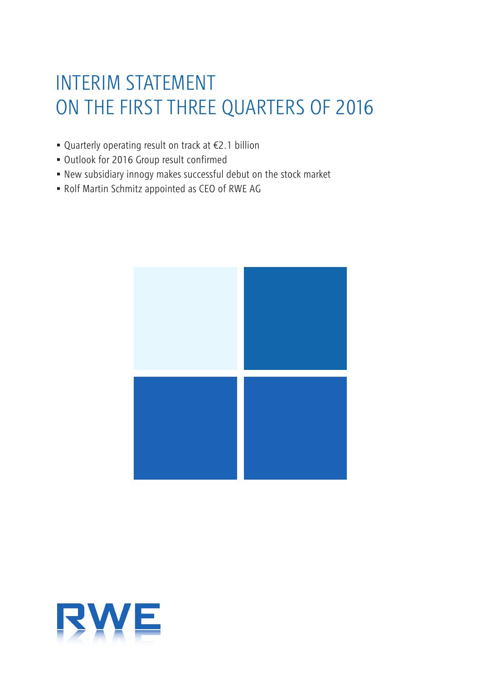# INTERIM STATEMENT ON THE FIRST THREE QUARTERS OF 2016

- Quarterly operating result on track at €2.1 billion
- Outlook for 2016 Group result confirmed
- New subsidiary innogy makes successful debut on the stock market
- Rolf Martin Schmitz appointed as CEO of RWE AG



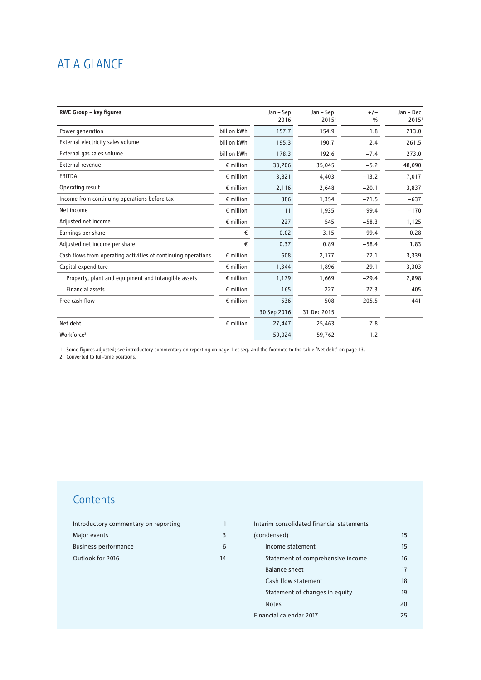## AT A GLANCE

| <b>RWE Group - key figures</b>                                |                    | Jan - Sep   | Jan - Sep         | $+/-$         | Jan - Dec         |
|---------------------------------------------------------------|--------------------|-------------|-------------------|---------------|-------------------|
|                                                               |                    | 2016        | 2015 <sup>1</sup> | $\frac{0}{0}$ | 2015 <sup>1</sup> |
| Power generation                                              | billion kWh        | 157.7       | 154.9             | 1.8           | 213.0             |
| External electricity sales volume                             | billion kWh        | 195.3       | 190.7             | 2.4           | 261.5             |
| External gas sales volume                                     | billion kWh        | 178.3       | 192.6             | $-7.4$        | 273.0             |
| External revenue                                              | $\epsilon$ million | 33,206      | 35,045            | $-5.2$        | 48,090            |
| EBITDA                                                        | $\epsilon$ million | 3,821       | 4,403             | $-13.2$       | 7,017             |
| Operating result                                              | $\epsilon$ million | 2,116       | 2,648             | $-20.1$       | 3,837             |
| Income from continuing operations before tax                  | $\epsilon$ million | 386         | 1,354             | $-71.5$       | $-637$            |
| Net income                                                    | $\epsilon$ million | 11          | 1,935             | $-99.4$       | $-170$            |
| Adjusted net income                                           | $\epsilon$ million | 227         | 545               | $-58.3$       | 1,125             |
| Earnings per share                                            | €                  | 0.02        | 3.15              | $-99.4$       | $-0.28$           |
| Adjusted net income per share                                 | €                  | 0.37        | 0.89              | $-58.4$       | 1.83              |
| Cash flows from operating activities of continuing operations | $\epsilon$ million | 608         | 2,177             | $-72.1$       | 3,339             |
| Capital expenditure                                           | $\epsilon$ million | 1,344       | 1,896             | $-29.1$       | 3,303             |
| Property, plant and equipment and intangible assets           | $\epsilon$ million | 1,179       | 1,669             | $-29.4$       | 2,898             |
| <b>Financial assets</b>                                       | $\epsilon$ million | 165         | 227               | $-27.3$       | 405               |
| Free cash flow                                                | $\epsilon$ million | $-536$      | 508               | $-205.5$      | 441               |
|                                                               |                    | 30 Sep 2016 | 31 Dec 2015       |               |                   |
| Net debt                                                      | $\epsilon$ million | 27,447      | 25,463            | 7.8           |                   |
| Workforce <sup>2</sup>                                        |                    | 59,024      | 59,762            | $-1.2$        |                   |

1 Some figures adjusted; see introductory commentary on reporting on page 1 et seq. and the footnote to the table 'Net debt' on page 13.

2 Converted to full-time positions.

## **Contents**

| Introductory commentary on reporting |    |
|--------------------------------------|----|
| Major events                         |    |
| <b>Business performance</b>          |    |
| Outlook for 2016                     | 14 |

| Interim consolidated financial statements |    |
|-------------------------------------------|----|
| (condensed)                               | 15 |
| Income statement                          | 15 |
| Statement of comprehensive income         | 16 |
| <b>Balance sheet</b>                      | 17 |
| Cash flow statement                       | 18 |
| Statement of changes in equity            | 19 |
| <b>Notes</b>                              | 20 |
| Financial calendar 2017                   | 25 |
|                                           |    |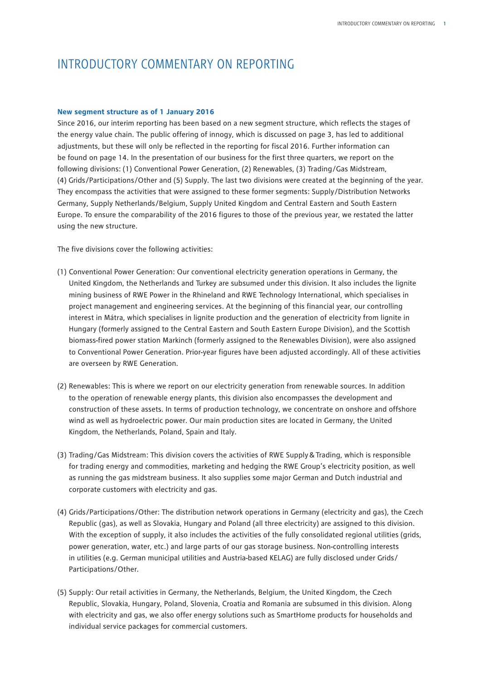## INTRODUCTORY COMMENTARY ON REPORTING

### **New segment structure as of 1 January 2016**

Since 2016, our interim reporting has been based on a new segment structure, which reflects the stages of the energy value chain. The public offering of innogy, which is discussed on page 3, has led to additional adjustments, but these will only be reflected in the reporting for fiscal 2016. Further information can be found on page 14. In the presentation of our business for the first three quarters, we report on the following divisions: (1) Conventional Power Generation, (2) Renewables, (3) Trading/Gas Midstream, (4) Grids/Participations/Other and (5) Supply. The last two divisions were created at the beginning of the year. They encompass the activities that were assigned to these former segments: Supply/Distribution Networks Germany, Supply Netherlands/Belgium, Supply United Kingdom and Central Eastern and South Eastern Europe. To ensure the comparability of the 2016 figures to those of the previous year, we restated the latter using the new structure.

The five divisions cover the following activities:

- (1) Conventional Power Generation: Our conventional electricity generation operations in Germany, the United Kingdom, the Netherlands and Turkey are subsumed under this division. It also includes the lignite mining business of RWE Power in the Rhineland and RWE Technology International, which specialises in project management and engineering services. At the beginning of this financial year, our controlling interest in Mátra, which specialises in lignite production and the generation of electricity from lignite in Hungary (formerly assigned to the Central Eastern and South Eastern Europe Division), and the Scottish biomass-fired power station Markinch (formerly assigned to the Renewables Division), were also assigned to Conventional Power Generation. Prior-year figures have been adjusted accordingly. All of these activities are overseen by RWE Generation.
- (2) Renewables: This is where we report on our electricity generation from renewable sources. In addition to the operation of renewable energy plants, this division also encompasses the development and construction of these assets. In terms of production technology, we concentrate on onshore and offshore wind as well as hydroelectric power. Our main production sites are located in Germany, the United Kingdom, the Netherlands, Poland, Spain and Italy.
- (3) Trading/Gas Midstream: This division covers the activities of RWE Supply&Trading, which is responsible for trading energy and commodities, marketing and hedging the RWE Group's electricity position, as well as running the gas midstream business. It also supplies some major German and Dutch industrial and corporate customers with electricity and gas.
- (4) Grids/Participations/Other: The distribution network operations in Germany (electricity and gas), the Czech Republic (gas), as well as Slovakia, Hungary and Poland (all three electricity) are assigned to this division. With the exception of supply, it also includes the activities of the fully consolidated regional utilities (grids, power generation, water, etc.) and large parts of our gas storage business. Non-controlling interests in utilities (e.g. German municipal utilities and Austria-based KELAG) are fully disclosed under Grids/ Participations/Other.
- (5) Supply: Our retail activities in Germany, the Netherlands, Belgium, the United Kingdom, the Czech Republic, Slovakia, Hungary, Poland, Slovenia, Croatia and Romania are subsumed in this division. Along with electricity and gas, we also offer energy solutions such as SmartHome products for households and individual service packages for commercial customers.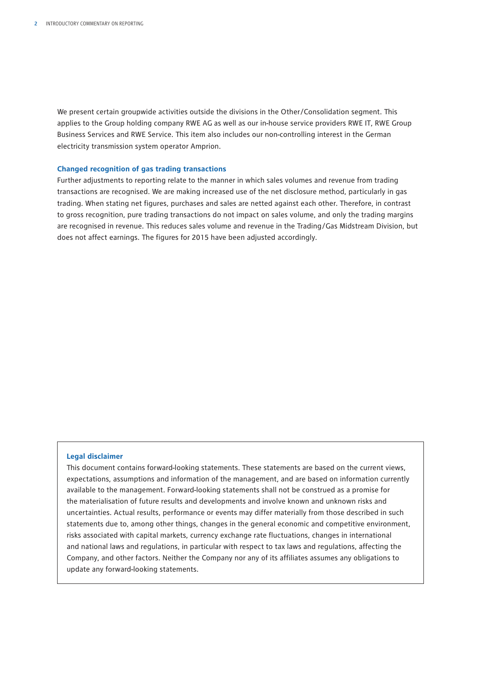We present certain groupwide activities outside the divisions in the Other/Consolidation segment. This applies to the Group holding company RWE AG as well as our in-house service providers RWE IT, RWE Group Business Services and RWE Service. This item also includes our non-controlling interest in the German electricity transmission system operator Amprion.

### **Changed recognition of gas trading transactions**

Further adjustments to reporting relate to the manner in which sales volumes and revenue from trading transactions are recognised. We are making increased use of the net disclosure method, particularly in gas trading. When stating net figures, purchases and sales are netted against each other. Therefore, in contrast to gross recognition, pure trading transactions do not impact on sales volume, and only the trading margins are recognised in revenue. This reduces sales volume and revenue in the Trading/Gas Midstream Division, but does not affect earnings. The figures for 2015 have been adjusted accordingly.

### **Legal disclaimer**

This document contains forward-looking statements. These statements are based on the current views, expectations, assumptions and information of the management, and are based on information currently available to the management. Forward-looking statements shall not be construed as a promise for the materialisation of future results and developments and involve known and unknown risks and uncertainties. Actual results, performance or events may differ materially from those described in such statements due to, among other things, changes in the general economic and competitive environment, risks associated with capital markets, currency exchange rate fluctuations, changes in international and national laws and regulations, in particular with respect to tax laws and regulations, affecting the Company, and other factors. Neither the Company nor any of its affiliates assumes any obligations to update any forward-looking statements.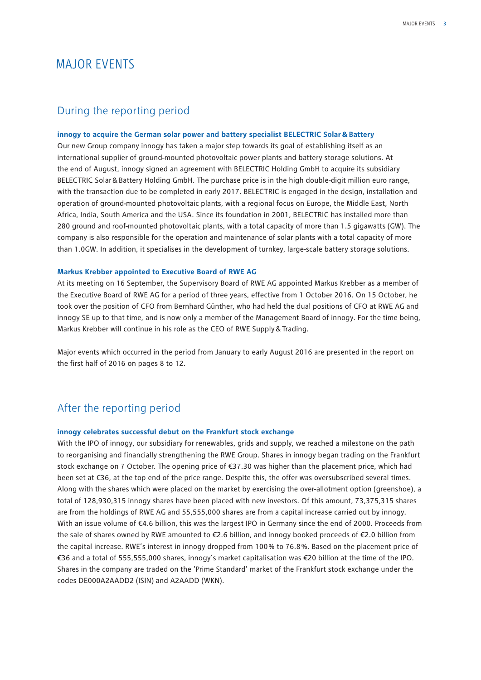## MAJOR EVENTS

### During the reporting period

### **innogy to acquire the German solar power and battery specialist BELECTRIC Solar&Battery**

Our new Group company innogy has taken a major step towards its goal of establishing itself as an international supplier of ground-mounted photovoltaic power plants and battery storage solutions. At the end of August, innogy signed an agreement with BELECTRIC Holding GmbH to acquire its subsidiary BELECTRIC Solar&Battery Holding GmbH. The purchase price is in the high double-digit million euro range, with the transaction due to be completed in early 2017. BELECTRIC is engaged in the design, installation and operation of ground-mounted photovoltaic plants, with a regional focus on Europe, the Middle East, North Africa, India, South America and the USA. Since its foundation in 2001, BELECTRIC has installed more than 280 ground and roof-mounted photovoltaic plants, with a total capacity of more than 1.5 gigawatts (GW). The company is also responsible for the operation and maintenance of solar plants with a total capacity of more than 1.0GW. In addition, it specialises in the development of turnkey, large-scale battery storage solutions.

### **Markus Krebber appointed to Executive Board of RWE AG**

At its meeting on 16 September, the Supervisory Board of RWE AG appointed Markus Krebber as a member of the Executive Board of RWE AG for a period of three years, effective from 1 October 2016. On 15 October, he took over the position of CFO from Bernhard Günther, who had held the dual positions of CFO at RWE AG and innogy SE up to that time, and is now only a member of the Management Board of innogy. For the time being, Markus Krebber will continue in his role as the CEO of RWE Supply&Trading.

Major events which occurred in the period from January to early August 2016 are presented in the report on the first half of 2016 on pages 8 to 12.

### After the reporting period

### **innogy celebrates successful debut on the Frankfurt stock exchange**

With the IPO of innogy, our subsidiary for renewables, grids and supply, we reached a milestone on the path to reorganising and financially strengthening the RWE Group. Shares in innogy began trading on the Frankfurt stock exchange on 7 October. The opening price of €37.30 was higher than the placement price, which had been set at €36, at the top end of the price range. Despite this, the offer was oversubscribed several times. Along with the shares which were placed on the market by exercising the over-allotment option (greenshoe), a total of 128,930,315 innogy shares have been placed with new investors. Of this amount, 73,375,315 shares are from the holdings of RWE AG and 55,555,000 shares are from a capital increase carried out by innogy. With an issue volume of €4.6 billion, this was the largest IPO in Germany since the end of 2000. Proceeds from the sale of shares owned by RWE amounted to €2.6 billion, and innogy booked proceeds of €2.0 billion from the capital increase. RWE's interest in innogy dropped from 100 % to 76.8 %. Based on the placement price of €36 and a total of 555,555,000 shares, innogy's market capitalisation was €20 billion at the time of the IPO. Shares in the company are traded on the 'Prime Standard' market of the Frankfurt stock exchange under the codes DE000A2AADD2 (ISIN) and A2AADD (WKN).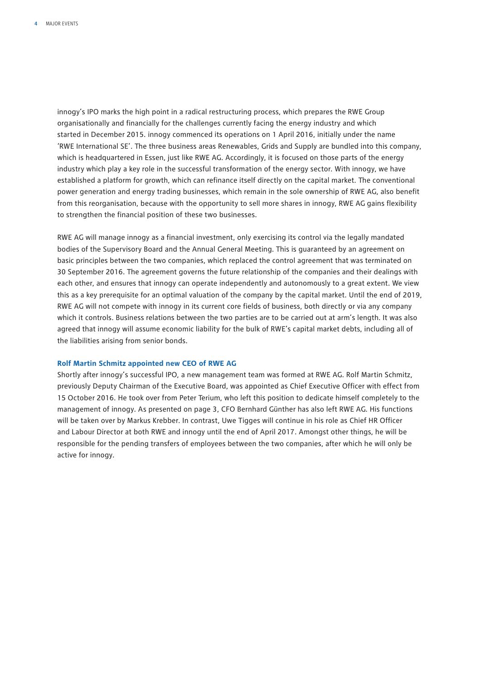innogy's IPO marks the high point in a radical restructuring process, which prepares the RWE Group organisationally and financially for the challenges currently facing the energy industry and which started in December 2015. innogy commenced its operations on 1 April 2016, initially under the name 'RWE International SE'. The three business areas Renewables, Grids and Supply are bundled into this company, which is headquartered in Essen, just like RWE AG. Accordingly, it is focused on those parts of the energy industry which play a key role in the successful transformation of the energy sector. With innogy, we have established a platform for growth, which can refinance itself directly on the capital market. The conventional power generation and energy trading businesses, which remain in the sole ownership of RWE AG, also benefit from this reorganisation, because with the opportunity to sell more shares in innogy, RWE AG gains flexibility to strengthen the financial position of these two businesses.

RWE AG will manage innogy as a financial investment, only exercising its control via the legally mandated bodies of the Supervisory Board and the Annual General Meeting. This is guaranteed by an agreement on basic principles between the two companies, which replaced the control agreement that was terminated on 30 September 2016. The agreement governs the future relationship of the companies and their dealings with each other, and ensures that innogy can operate independently and autonomously to a great extent. We view this as a key prerequisite for an optimal valuation of the company by the capital market. Until the end of 2019, RWE AG will not compete with innogy in its current core fields of business, both directly or via any company which it controls. Business relations between the two parties are to be carried out at arm's length. It was also agreed that innogy will assume economic liability for the bulk of RWE's capital market debts, including all of the liabilities arising from senior bonds.

#### **Rolf Martin Schmitz appointed new CEO of RWE AG**

Shortly after innogy's successful IPO, a new management team was formed at RWE AG. Rolf Martin Schmitz, previously Deputy Chairman of the Executive Board, was appointed as Chief Executive Officer with effect from 15 October 2016. He took over from Peter Terium, who left this position to dedicate himself completely to the management of innogy. As presented on page 3, CFO Bernhard Günther has also left RWE AG. His functions will be taken over by Markus Krebber. In contrast, Uwe Tigges will continue in his role as Chief HR Officer and Labour Director at both RWE and innogy until the end of April 2017. Amongst other things, he will be responsible for the pending transfers of employees between the two companies, after which he will only be active for innogy.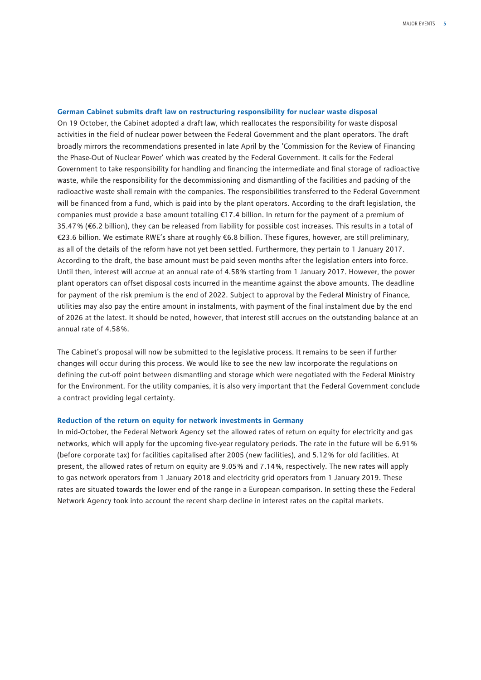#### **German Cabinet submits draft law on restructuring responsibility for nuclear waste disposal**

On 19 October, the Cabinet adopted a draft law, which reallocates the responsibility for waste disposal activities in the field of nuclear power between the Federal Government and the plant operators. The draft broadly mirrors the recommendations presented in late April by the 'Commission for the Review of Financing the Phase-Out of Nuclear Power' which was created by the Federal Government. It calls for the Federal Government to take responsibility for handling and financing the intermediate and final storage of radioactive waste, while the responsibility for the decommissioning and dismantling of the facilities and packing of the radioactive waste shall remain with the companies. The responsibilities transferred to the Federal Government will be financed from a fund, which is paid into by the plant operators. According to the draft legislation, the companies must provide a base amount totalling €17.4 billion. In return for the payment of a premium of 35.47 % (€6.2 billion), they can be released from liability for possible cost increases. This results in a total of €23.6 billion. We estimate RWE's share at roughly €6.8 billion. These figures, however, are still preliminary, as all of the details of the reform have not yet been settled. Furthermore, they pertain to 1 January 2017. According to the draft, the base amount must be paid seven months after the legislation enters into force. Until then, interest will accrue at an annual rate of 4.58 % starting from 1 January 2017. However, the power plant operators can offset disposal costs incurred in the meantime against the above amounts. The deadline for payment of the risk premium is the end of 2022. Subject to approval by the Federal Ministry of Finance, utilities may also pay the entire amount in instalments, with payment of the final instalment due by the end of 2026 at the latest. It should be noted, however, that interest still accrues on the outstanding balance at an annual rate of 4.58 %.

The Cabinet's proposal will now be submitted to the legislative process. It remains to be seen if further changes will occur during this process. We would like to see the new law incorporate the regulations on defining the cut-off point between dismantling and storage which were negotiated with the Federal Ministry for the Environment. For the utility companies, it is also very important that the Federal Government conclude a contract providing legal certainty.

#### **Reduction of the return on equity for network investments in Germany**

In mid-October, the Federal Network Agency set the allowed rates of return on equity for electricity and gas networks, which will apply for the upcoming five-year regulatory periods. The rate in the future will be 6.91 % (before corporate tax) for facilities capitalised after 2005 (new facilities), and 5.12 % for old facilities. At present, the allowed rates of return on equity are 9.05 % and 7.14 %, respectively. The new rates will apply to gas network operators from 1 January 2018 and electricity grid operators from 1 January 2019. These rates are situated towards the lower end of the range in a European comparison. In setting these the Federal Network Agency took into account the recent sharp decline in interest rates on the capital markets.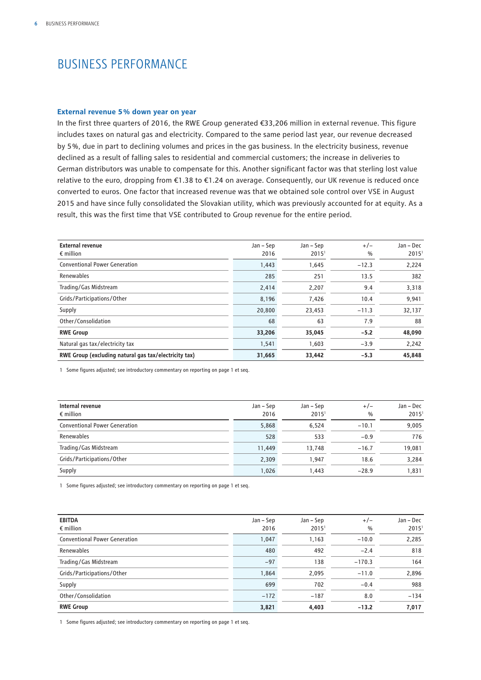## BUSINESS PERFORMANCE

### **External revenue 5 % down year on year**

In the first three quarters of 2016, the RWE Group generated €33,206 million in external revenue. This figure includes taxes on natural gas and electricity. Compared to the same period last year, our revenue decreased by 5 %, due in part to declining volumes and prices in the gas business. In the electricity business, revenue declined as a result of falling sales to residential and commercial customers; the increase in deliveries to German distributors was unable to compensate for this. Another significant factor was that sterling lost value relative to the euro, dropping from €1.38 to €1.24 on average. Consequently, our UK revenue is reduced once converted to euros. One factor that increased revenue was that we obtained sole control over VSE in August 2015 and have since fully consolidated the Slovakian utility, which was previously accounted for at equity. As a result, this was the first time that VSE contributed to Group revenue for the entire period.

| <b>External revenue</b><br>$\epsilon$ million         | Jan – Sep<br>2016 | Jan – Sep<br>2015 <sup>1</sup> | $+/-$<br>$\%$ | Jan - Dec<br>$2015^1$ |
|-------------------------------------------------------|-------------------|--------------------------------|---------------|-----------------------|
| <b>Conventional Power Generation</b>                  | 1,443             | 1,645                          | $-12.3$       | 2,224                 |
| Renewables                                            | 285               | 251                            | 13.5          | 382                   |
| Trading/Gas Midstream                                 | 2,414             | 2,207                          | 9.4           | 3,318                 |
| Grids/Participations/Other                            | 8,196             | 7,426                          | 10.4          | 9,941                 |
| Supply                                                | 20,800            | 23,453                         | $-11.3$       | 32,137                |
| Other/Consolidation                                   | 68                | 63                             | 7.9           | 88                    |
| <b>RWE Group</b>                                      | 33,206            | 35,045                         | $-5.2$        | 48,090                |
| Natural gas tax/electricity tax                       | 1,541             | 1,603                          | $-3.9$        | 2,242                 |
| RWE Group (excluding natural gas tax/electricity tax) | 31,665            | 33,442                         | $-5.3$        | 45,848                |

1 Some figures adjusted; see introductory commentary on reporting on page 1 et seq.

| Internal revenue<br>$\epsilon$ million | Jan – Sep<br>2016 | Jan – Sep<br>2015 <sup>1</sup> | $+/-$<br>$\%$ | Jan – Dec<br>2015 <sup>1</sup> |
|----------------------------------------|-------------------|--------------------------------|---------------|--------------------------------|
| <b>Conventional Power Generation</b>   | 5,868             | 6,524                          | $-10.1$       | 9,005                          |
| Renewables                             | 528               | 533                            | $-0.9$        | 776                            |
| Trading/Gas Midstream                  | 11,449            | 13,748                         | $-16.7$       | 19.081                         |
| Grids/Participations/Other             | 2,309             | 1.947                          | 18.6          | 3,284                          |
| Supply                                 | 1,026             | 1.443                          | $-28.9$       | 1,831                          |

1 Some figures adjusted; see introductory commentary on reporting on page 1 et seq.

| <b>EBITDA</b><br>$\epsilon$ million  | Jan – Sep<br>2016 | Jan – Sep<br>2015 <sup>1</sup> | $+/-$<br>$\frac{0}{0}$ | Jan – Dec<br>2015 <sup>1</sup> |
|--------------------------------------|-------------------|--------------------------------|------------------------|--------------------------------|
| <b>Conventional Power Generation</b> | 1,047             | 1,163                          | $-10.0$                | 2,285                          |
| Renewables                           | 480               | 492                            | $-2.4$                 | 818                            |
| Trading/Gas Midstream                | $-97$             | 138                            | $-170.3$               | 164                            |
| Grids/Participations/Other           | 1,864             | 2,095                          | $-11.0$                | 2,896                          |
| Supply                               | 699               | 702                            | $-0.4$                 | 988                            |
| Other/Consolidation                  | $-172$            | $-187$                         | 8.0                    | $-134$                         |
| <b>RWE Group</b>                     | 3,821             | 4,403                          | $-13.2$                | 7,017                          |

1 Some figures adjusted; see introductory commentary on reporting on page 1 et seq.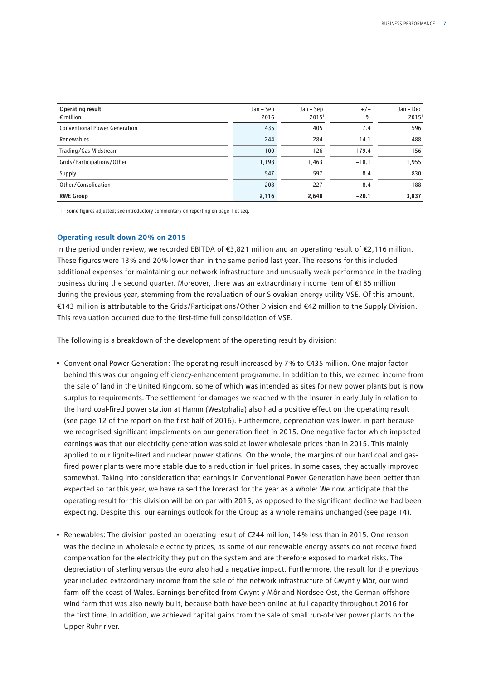| Operating result<br>$\epsilon$ million | Jan – Sep<br>2016 | Jan – Sep<br>2015' | $+/-$<br>$\%$ | Jan – Dec<br>2015 <sup>1</sup> |
|----------------------------------------|-------------------|--------------------|---------------|--------------------------------|
| <b>Conventional Power Generation</b>   | 435               | 405                | 7.4           | 596                            |
| Renewables                             | 244               | 284                | $-14.1$       | 488                            |
| Trading/Gas Midstream                  | $-100$            | 126                | $-179.4$      | 156                            |
| Grids/Participations/Other             | 1,198             | 1.463              | $-18.1$       | 1,955                          |
| Supply                                 | 547               | 597                | $-8.4$        | 830                            |
| Other/Consolidation                    | $-208$            | $-227$             | 8.4           | $-188$                         |
| <b>RWE Group</b>                       | 2,116             | 2,648              | $-20.1$       | 3,837                          |

1 Some figures adjusted; see introductory commentary on reporting on page 1 et seq.

### **Operating result down 20 % on 2015**

In the period under review, we recorded EBITDA of €3,821 million and an operating result of €2,116 million. These figures were 13 % and 20 % lower than in the same period last year. The reasons for this included additional expenses for maintaining our network infrastructure and unusually weak performance in the trading business during the second quarter. Moreover, there was an extraordinary income item of €185 million during the previous year, stemming from the revaluation of our Slovakian energy utility VSE. Of this amount, €143 million is attributable to the Grids/Participations/Other Division and €42 million to the Supply Division. This revaluation occurred due to the first-time full consolidation of VSE.

The following is a breakdown of the development of the operating result by division:

- Conventional Power Generation: The operating result increased by 7 % to €435 million. One major factor behind this was our ongoing efficiency-enhancement programme. In addition to this, we earned income from the sale of land in the United Kingdom, some of which was intended as sites for new power plants but is now surplus to requirements. The settlement for damages we reached with the insurer in early July in relation to the hard coal-fired power station at Hamm (Westphalia) also had a positive effect on the operating result (see page 12 of the report on the first half of 2016). Furthermore, depreciation was lower, in part because we recognised significant impairments on our generation fleet in 2015. One negative factor which impacted earnings was that our electricity generation was sold at lower wholesale prices than in 2015. This mainly applied to our lignite-fired and nuclear power stations. On the whole, the margins of our hard coal and gasfired power plants were more stable due to a reduction in fuel prices. In some cases, they actually improved somewhat. Taking into consideration that earnings in Conventional Power Generation have been better than expected so far this year, we have raised the forecast for the year as a whole: We now anticipate that the operating result for this division will be on par with 2015, as opposed to the significant decline we had been expecting. Despite this, our earnings outlook for the Group as a whole remains unchanged (see page 14).
- Renewables: The division posted an operating result of €244 million, 14 % less than in 2015. One reason was the decline in wholesale electricity prices, as some of our renewable energy assets do not receive fixed compensation for the electricity they put on the system and are therefore exposed to market risks. The depreciation of sterling versus the euro also had a negative impact. Furthermore, the result for the previous year included extraordinary income from the sale of the network infrastructure of Gwynt y Môr, our wind farm off the coast of Wales. Earnings benefited from Gwynt y Môr and Nordsee Ost, the German offshore wind farm that was also newly built, because both have been online at full capacity throughout 2016 for the first time. In addition, we achieved capital gains from the sale of small run-of-river power plants on the Upper Ruhr river.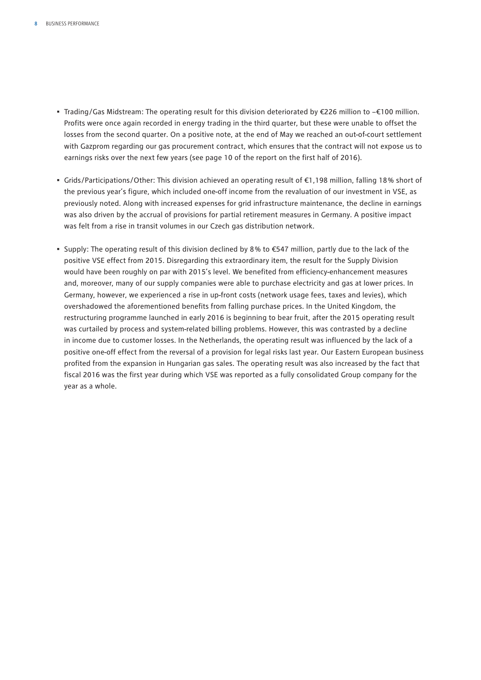- Trading/Gas Midstream: The operating result for this division deteriorated by €226 million to −€100 million. Profits were once again recorded in energy trading in the third quarter, but these were unable to offset the losses from the second quarter. On a positive note, at the end of May we reached an out-of-court settlement with Gazprom regarding our gas procurement contract, which ensures that the contract will not expose us to earnings risks over the next few years (see page 10 of the report on the first half of 2016).
- Grids/Participations/Other: This division achieved an operating result of €1,198 million, falling 18 % short of the previous year's figure, which included one-off income from the revaluation of our investment in VSE, as previously noted. Along with increased expenses for grid infrastructure maintenance, the decline in earnings was also driven by the accrual of provisions for partial retirement measures in Germany. A positive impact was felt from a rise in transit volumes in our Czech gas distribution network.
- Supply: The operating result of this division declined by 8 % to €547 million, partly due to the lack of the positive VSE effect from 2015. Disregarding this extraordinary item, the result for the Supply Division would have been roughly on par with 2015's level. We benefited from efficiency-enhancement measures and, moreover, many of our supply companies were able to purchase electricity and gas at lower prices. In Germany, however, we experienced a rise in up-front costs (network usage fees, taxes and levies), which overshadowed the aforementioned benefits from falling purchase prices. In the United Kingdom, the restructuring programme launched in early 2016 is beginning to bear fruit, after the 2015 operating result was curtailed by process and system-related billing problems. However, this was contrasted by a decline in income due to customer losses. In the Netherlands, the operating result was influenced by the lack of a positive one-off effect from the reversal of a provision for legal risks last year. Our Eastern European business profited from the expansion in Hungarian gas sales. The operating result was also increased by the fact that fiscal 2016 was the first year during which VSE was reported as a fully consolidated Group company for the year as a whole.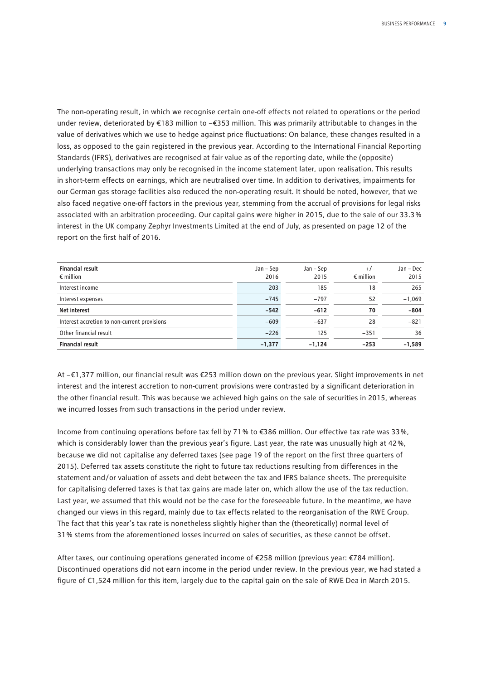The non-operating result, in which we recognise certain one-off effects not related to operations or the period under review, deteriorated by €183 million to −€353 million. This was primarily attributable to changes in the value of derivatives which we use to hedge against price fluctuations: On balance, these changes resulted in a loss, as opposed to the gain registered in the previous year. According to the International Financial Reporting Standards (IFRS), derivatives are recognised at fair value as of the reporting date, while the (opposite) underlying transactions may only be recognised in the income statement later, upon realisation. This results in short-term effects on earnings, which are neutralised over time. In addition to derivatives, impairments for our German gas storage facilities also reduced the non-operating result. It should be noted, however, that we also faced negative one-off factors in the previous year, stemming from the accrual of provisions for legal risks associated with an arbitration proceeding. Our capital gains were higher in 2015, due to the sale of our 33.3 % interest in the UK company Zephyr Investments Limited at the end of July, as presented on page 12 of the report on the first half of 2016.

| <b>Financial result</b><br>$\epsilon$ million | Jan – Sep<br>2016 | Jan – Sep<br>2015 | $+/-$<br>$\epsilon$ million | Jan - Dec<br>2015 |
|-----------------------------------------------|-------------------|-------------------|-----------------------------|-------------------|
| Interest income                               | 203               | 185               | 18                          | 265               |
| Interest expenses                             | $-745$            | $-797$            | 52                          | $-1,069$          |
| <b>Net interest</b>                           | $-542$            | $-612$            | 70                          | $-804$            |
| Interest accretion to non-current provisions  | $-609$            | $-637$            | 28                          | $-821$            |
| Other financial result                        | $-226$            | 125               | $-351$                      | 36                |
| <b>Financial result</b>                       | $-1,377$          | $-1,124$          | $-253$                      | $-1,589$          |

At −€1,377 million, our financial result was €253 million down on the previous year. Slight improvements in net interest and the interest accretion to non-current provisions were contrasted by a significant deterioration in the other financial result. This was because we achieved high gains on the sale of securities in 2015, whereas we incurred losses from such transactions in the period under review.

Income from continuing operations before tax fell by 71 % to €386 million. Our effective tax rate was 33 %, which is considerably lower than the previous year's figure. Last year, the rate was unusually high at 42 %, because we did not capitalise any deferred taxes (see page 19 of the report on the first three quarters of 2015). Deferred tax assets constitute the right to future tax reductions resulting from differences in the statement and/or valuation of assets and debt between the tax and IFRS balance sheets. The prerequisite for capitalising deferred taxes is that tax gains are made later on, which allow the use of the tax reduction. Last year, we assumed that this would not be the case for the foreseeable future. In the meantime, we have changed our views in this regard, mainly due to tax effects related to the reorganisation of the RWE Group. The fact that this year's tax rate is nonetheless slightly higher than the (theoretically) normal level of 31 % stems from the aforementioned losses incurred on sales of securities, as these cannot be offset.

After taxes, our continuing operations generated income of €258 million (previous year: €784 million). Discontinued operations did not earn income in the period under review. In the previous year, we had stated a figure of €1,524 million for this item, largely due to the capital gain on the sale of RWE Dea in March 2015.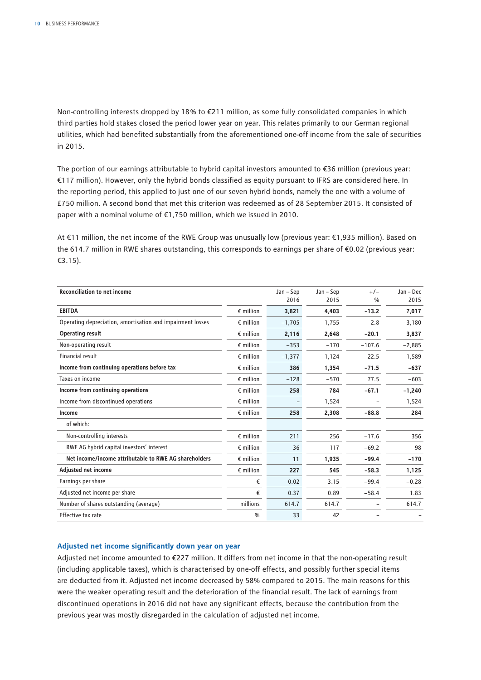Non-controlling interests dropped by 18 % to €211 million, as some fully consolidated companies in which third parties hold stakes closed the period lower year on year. This relates primarily to our German regional utilities, which had benefited substantially from the aforementioned one-off income from the sale of securities in 2015.

The portion of our earnings attributable to hybrid capital investors amounted to €36 million (previous year: €117 million). However, only the hybrid bonds classified as equity pursuant to IFRS are considered here. In the reporting period, this applied to just one of our seven hybrid bonds, namely the one with a volume of £750 million. A second bond that met this criterion was redeemed as of 28 September 2015. It consisted of paper with a nominal volume of €1,750 million, which we issued in 2010.

At €11 million, the net income of the RWE Group was unusually low (previous year: €1,935 million). Based on the 614.7 million in RWE shares outstanding, this corresponds to earnings per share of €0.02 (previous year: €3.15).

| <b>Reconciliation to net income</b>                        |                    | Jan - Sep | Jan - Sep | $+/-$         | Jan - Dec |
|------------------------------------------------------------|--------------------|-----------|-----------|---------------|-----------|
|                                                            |                    | 2016      | 2015      | $\frac{0}{0}$ | 2015      |
| <b>EBITDA</b>                                              | $\epsilon$ million | 3,821     | 4.403     | $-13.2$       | 7,017     |
| Operating depreciation, amortisation and impairment losses | $\epsilon$ million | $-1,705$  | $-1,755$  | 2.8           | $-3,180$  |
| <b>Operating result</b>                                    | $\epsilon$ million | 2,116     | 2,648     | $-20.1$       | 3,837     |
| Non-operating result                                       | $\epsilon$ million | $-353$    | $-170$    | $-107.6$      | $-2,885$  |
| Financial result                                           | $\epsilon$ million | $-1,377$  | $-1,124$  | $-22.5$       | $-1,589$  |
| Income from continuing operations before tax               | $\epsilon$ million | 386       | 1,354     | $-71.5$       | $-637$    |
| Taxes on income                                            | $\epsilon$ million | $-128$    | $-570$    | 77.5          | $-603$    |
| Income from continuing operations                          | $\epsilon$ million | 258       | 784       | $-67.1$       | $-1,240$  |
| Income from discontinued operations                        | $\epsilon$ million |           | 1,524     |               | 1,524     |
| Income                                                     | $\epsilon$ million | 258       | 2,308     | $-88.8$       | 284       |
| of which:                                                  |                    |           |           |               |           |
| Non-controlling interests                                  | $\epsilon$ million | 211       | 256       | $-17.6$       | 356       |
| RWE AG hybrid capital investors' interest                  | $\epsilon$ million | 36        | 117       | $-69.2$       | 98        |
| Net income/income attributable to RWE AG shareholders      | $\epsilon$ million | 11        | 1,935     | $-99.4$       | $-170$    |
| <b>Adjusted net income</b>                                 | $\epsilon$ million | 227       | 545       | $-58.3$       | 1,125     |
| Earnings per share                                         | €                  | 0.02      | 3.15      | $-99.4$       | $-0.28$   |
| Adjusted net income per share                              | €                  | 0.37      | 0.89      | $-58.4$       | 1.83      |
| Number of shares outstanding (average)                     | millions           | 614.7     | 614.7     |               | 614.7     |
| Effective tax rate                                         | $\frac{0}{0}$      | 33        | 42        |               |           |

### **Adjusted net income significantly down year on year**

Adjusted net income amounted to €227 million. It differs from net income in that the non-operating result (including applicable taxes), which is characterised by one-off effects, and possibly further special items are deducted from it. Adjusted net income decreased by 58% compared to 2015. The main reasons for this were the weaker operating result and the deterioration of the financial result. The lack of earnings from discontinued operations in 2016 did not have any significant effects, because the contribution from the previous year was mostly disregarded in the calculation of adjusted net income.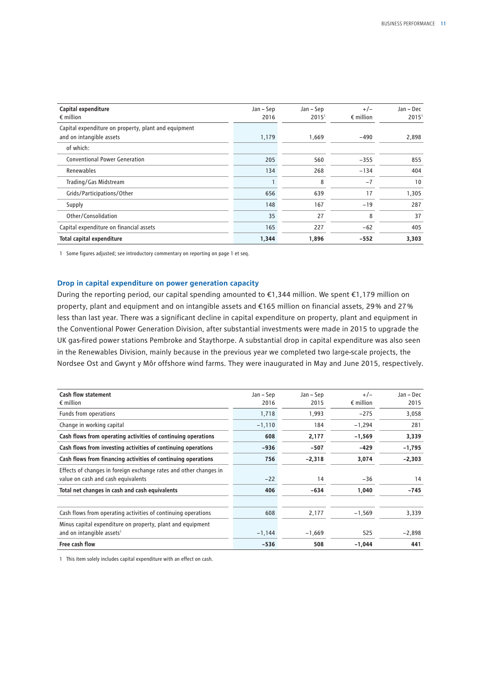| Capital expenditure<br>$\epsilon$ million            | Jan – Sep<br>2016 | Jan – Sep<br>2015 <sup>1</sup> | $+/-$<br>$\epsilon$ million | Jan - Dec<br>2015 <sup>1</sup> |
|------------------------------------------------------|-------------------|--------------------------------|-----------------------------|--------------------------------|
|                                                      |                   |                                |                             |                                |
| Capital expenditure on property, plant and equipment |                   |                                |                             |                                |
| and on intangible assets                             | 1,179             | 1,669                          | $-490$                      | 2,898                          |
| of which:                                            |                   |                                |                             |                                |
| <b>Conventional Power Generation</b>                 | 205               | 560                            | $-355$                      | 855                            |
| Renewables                                           | 134               | 268                            | $-134$                      | 404                            |
| Trading/Gas Midstream                                |                   | 8                              | $-7$                        | 10                             |
| Grids/Participations/Other                           | 656               | 639                            | 17                          | 1,305                          |
| Supply                                               | 148               | 167                            | $-19$                       | 287                            |
| Other/Consolidation                                  | 35                | 27                             | 8                           | 37                             |
| Capital expenditure on financial assets              | 165               | 227                            | $-62$                       | 405                            |
| <b>Total capital expenditure</b>                     | 1,344             | 1,896                          | $-552$                      | 3,303                          |

1 Some figures adjusted; see introductory commentary on reporting on page 1 et seq.

### **Drop in capital expenditure on power generation capacity**

During the reporting period, our capital spending amounted to €1,344 million. We spent €1,179 million on property, plant and equipment and on intangible assets and €165 million on financial assets, 29 % and 27 % less than last year. There was a significant decline in capital expenditure on property, plant and equipment in the Conventional Power Generation Division, after substantial investments were made in 2015 to upgrade the UK gas-fired power stations Pembroke and Staythorpe. A substantial drop in capital expenditure was also seen in the Renewables Division, mainly because in the previous year we completed two large-scale projects, the Nordsee Ost and Gwynt y Môr offshore wind farms. They were inaugurated in May and June 2015, respectively.

| <b>Cash flow statement</b><br>$\epsilon$ million                  | Jan – Sep<br>2016 | Jan – Sep<br>2015 | $+/-$<br>$\epsilon$ million | Jan - Dec<br>2015 |
|-------------------------------------------------------------------|-------------------|-------------------|-----------------------------|-------------------|
| Funds from operations                                             | 1,718             | 1,993             | $-275$                      | 3,058             |
| Change in working capital                                         | $-1,110$          | 184               | $-1,294$                    | 281               |
| Cash flows from operating activities of continuing operations     | 608               | 2,177             | $-1,569$                    | 3,339             |
| Cash flows from investing activities of continuing operations     | $-936$            | $-507$            | $-429$                      | $-1,795$          |
| Cash flows from financing activities of continuing operations     | 756               | $-2,318$          | 3,074                       | $-2,303$          |
| Effects of changes in foreign exchange rates and other changes in |                   |                   |                             |                   |
| value on cash and cash equivalents                                | $-22$             | 14                | $-36$                       | 14                |
| Total net changes in cash and cash equivalents                    | 406               | $-634$            | 1,040                       | $-745$            |
| Cash flows from operating activities of continuing operations     | 608               | 2,177             | $-1,569$                    | 3,339             |
| Minus capital expenditure on property, plant and equipment        |                   |                   |                             |                   |
| and on intangible assets <sup>1</sup>                             | $-1,144$          | $-1,669$          | 525                         | $-2,898$          |
| Free cash flow                                                    | $-536$            | 508               | $-1,044$                    | 441               |

1 This item solely includes capital expenditure with an effect on cash.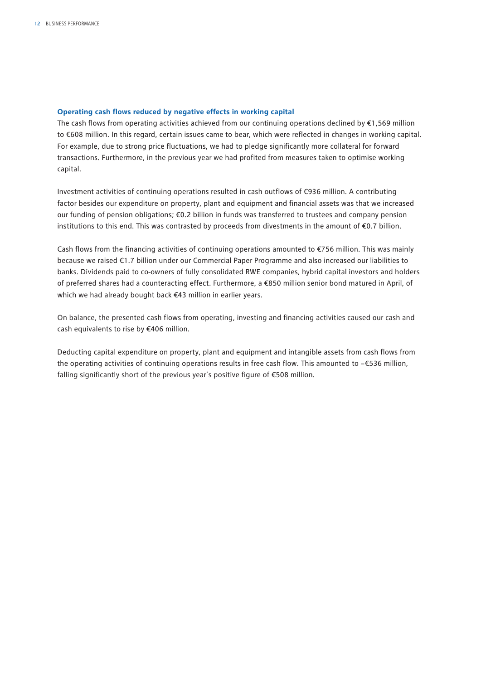### **Operating cash flows reduced by negative effects in working capital**

The cash flows from operating activities achieved from our continuing operations declined by €1,569 million to €608 million. In this regard, certain issues came to bear, which were reflected in changes in working capital. For example, due to strong price fluctuations, we had to pledge significantly more collateral for forward transactions. Furthermore, in the previous year we had profited from measures taken to optimise working capital.

Investment activities of continuing operations resulted in cash outflows of €936 million. A contributing factor besides our expenditure on property, plant and equipment and financial assets was that we increased our funding of pension obligations; €0.2 billion in funds was transferred to trustees and company pension institutions to this end. This was contrasted by proceeds from divestments in the amount of €0.7 billion.

Cash flows from the financing activities of continuing operations amounted to €756 million. This was mainly because we raised €1.7 billion under our Commercial Paper Programme and also increased our liabilities to banks. Dividends paid to co-owners of fully consolidated RWE companies, hybrid capital investors and holders of preferred shares had a counteracting effect. Furthermore, a €850 million senior bond matured in April, of which we had already bought back €43 million in earlier years.

On balance, the presented cash flows from operating, investing and financing activities caused our cash and cash equivalents to rise by €406 million.

Deducting capital expenditure on property, plant and equipment and intangible assets from cash flows from the operating activities of continuing operations results in free cash flow. This amounted to −€536 million, falling significantly short of the previous year's positive figure of €508 million.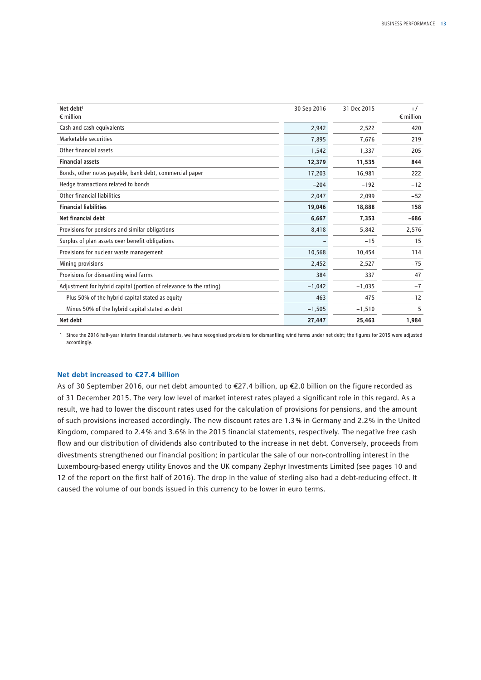| Net debt <sup>1</sup><br>$\epsilon$ million                        | 30 Sep 2016 | 31 Dec 2015 | $+/-$<br>$\epsilon$ million |
|--------------------------------------------------------------------|-------------|-------------|-----------------------------|
| Cash and cash equivalents                                          | 2,942       | 2,522       | 420                         |
| Marketable securities                                              | 7,895       | 7,676       | 219                         |
| Other financial assets                                             | 1,542       | 1,337       | 205                         |
| <b>Financial assets</b>                                            | 12,379      | 11,535      | 844                         |
| Bonds, other notes payable, bank debt, commercial paper            | 17,203      | 16,981      | 222                         |
| Hedge transactions related to bonds                                | $-204$      | $-192$      | $-12$                       |
| Other financial liabilities                                        | 2,047       | 2,099       | $-52$                       |
| <b>Financial liabilities</b>                                       | 19,046      | 18,888      | 158                         |
| Net financial debt                                                 | 6,667       | 7,353       | $-686$                      |
| Provisions for pensions and similar obligations                    | 8,418       | 5,842       | 2,576                       |
| Surplus of plan assets over benefit obligations                    |             | $-15$       | 15                          |
| Provisions for nuclear waste management                            | 10,568      | 10,454      | 114                         |
| Mining provisions                                                  | 2,452       | 2,527       | $-75$                       |
| Provisions for dismantling wind farms                              | 384         | 337         | 47                          |
| Adjustment for hybrid capital (portion of relevance to the rating) | $-1,042$    | $-1,035$    | $-7$                        |
| Plus 50% of the hybrid capital stated as equity                    | 463         | 475         | $-12$                       |
| Minus 50% of the hybrid capital stated as debt                     | $-1,505$    | $-1,510$    | 5                           |
| Net debt                                                           | 27,447      | 25,463      | 1,984                       |

1 Since the 2016 half-year interim financial statements, we have recognised provisions for dismantling wind farms under net debt; the figures for 2015 were adjusted accordingly.

### **Net debt increased to €27.4 billion**

As of 30 September 2016, our net debt amounted to €27.4 billion, up €2.0 billion on the figure recorded as of 31 December 2015. The very low level of market interest rates played a significant role in this regard. As a result, we had to lower the discount rates used for the calculation of provisions for pensions, and the amount of such provisions increased accordingly. The new discount rates are 1.3 % in Germany and 2.2 % in the United Kingdom, compared to 2.4 % and 3.6 % in the 2015 financial statements, respectively. The negative free cash flow and our distribution of dividends also contributed to the increase in net debt. Conversely, proceeds from divestments strengthened our financial position; in particular the sale of our non-controlling interest in the Luxembourg-based energy utility Enovos and the UK company Zephyr Investments Limited (see pages 10 and 12 of the report on the first half of 2016). The drop in the value of sterling also had a debt-reducing effect. It caused the volume of our bonds issued in this currency to be lower in euro terms.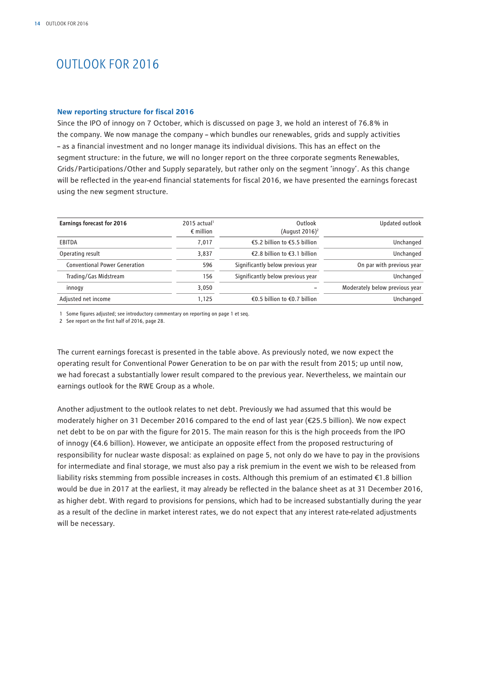## OUTLOOK FOR 2016

#### **New reporting structure for fiscal 2016**

Since the IPO of innogy on 7 October, which is discussed on page 3, we hold an interest of 76.8 % in the company. We now manage the company – which bundles our renewables, grids and supply activities – as a financial investment and no longer manage its individual divisions. This has an effect on the segment structure: in the future, we will no longer report on the three corporate segments Renewables, Grids/Participations/Other and Supply separately, but rather only on the segment 'innogy'. As this change will be reflected in the year-end financial statements for fiscal 2016, we have presented the earnings forecast using the new segment structure.

| <b>Earnings forecast for 2016</b>    | $2015$ actual <sup>1</sup><br>$\epsilon$ million | Outlook<br>(August 2016) <sup>2</sup> | Updated outlook                |
|--------------------------------------|--------------------------------------------------|---------------------------------------|--------------------------------|
| EBITDA                               | 7.017                                            | €5.2 billion to €5.5 billion          | Unchanged                      |
| Operating result                     | 3.837                                            | €2.8 billion to €3.1 billion          | Unchanged                      |
| <b>Conventional Power Generation</b> | 596                                              | Significantly below previous year     | On par with previous year      |
| Trading/Gas Midstream                | 156                                              | Significantly below previous year     | Unchanged                      |
| innogy                               | 3,050                                            |                                       | Moderately below previous year |
| Adjusted net income                  | 1.125                                            | €0.5 billion to €0.7 billion          | Unchanged                      |

1 Some figures adjusted; see introductory commentary on reporting on page 1 et seq.

2 See report on the first half of 2016, page 28.

The current earnings forecast is presented in the table above. As previously noted, we now expect the operating result for Conventional Power Generation to be on par with the result from 2015; up until now, we had forecast a substantially lower result compared to the previous year. Nevertheless, we maintain our earnings outlook for the RWE Group as a whole.

Another adjustment to the outlook relates to net debt. Previously we had assumed that this would be moderately higher on 31 December 2016 compared to the end of last year (€25.5 billion). We now expect net debt to be on par with the figure for 2015. The main reason for this is the high proceeds from the IPO of innogy (€4.6 billion). However, we anticipate an opposite effect from the proposed restructuring of responsibility for nuclear waste disposal: as explained on page 5, not only do we have to pay in the provisions for intermediate and final storage, we must also pay a risk premium in the event we wish to be released from liability risks stemming from possible increases in costs. Although this premium of an estimated €1.8 billion would be due in 2017 at the earliest, it may already be reflected in the balance sheet as at 31 December 2016, as higher debt. With regard to provisions for pensions, which had to be increased substantially during the year as a result of the decline in market interest rates, we do not expect that any interest rate-related adjustments will be necessary.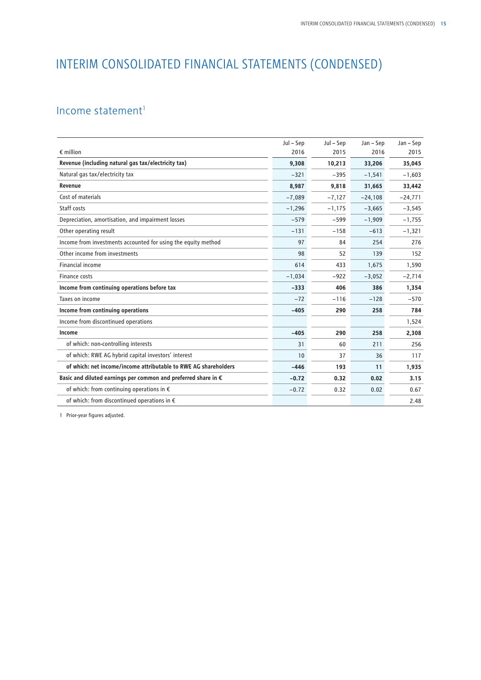## INTERIM CONSOLIDATED FINANCIAL STATEMENTS (CONDENSED)

## Income statement $1$

|                                                                         | Jul - Sep | Jul - Sep | Jan – Sep | Jan – Sep |
|-------------------------------------------------------------------------|-----------|-----------|-----------|-----------|
| $\epsilon$ million                                                      | 2016      | 2015      | 2016      | 2015      |
| Revenue (including natural gas tax/electricity tax)                     | 9.308     | 10.213    | 33,206    | 35,045    |
| Natural gas tax/electricity tax                                         | $-321$    | $-395$    | $-1,541$  | $-1,603$  |
| Revenue                                                                 | 8,987     | 9,818     | 31,665    | 33,442    |
| Cost of materials                                                       | $-7,089$  | $-7,127$  | $-24,108$ | $-24,771$ |
| Staff costs                                                             | $-1,296$  | $-1,175$  | $-3,665$  | $-3,545$  |
| Depreciation, amortisation, and impairment losses                       | $-579$    | $-599$    | $-1,909$  | $-1,755$  |
| Other operating result                                                  | $-131$    | $-158$    | $-613$    | $-1,321$  |
| Income from investments accounted for using the equity method           | 97        | 84        | 254       | 276       |
| Other income from investments                                           | 98        | 52        | 139       | 152       |
| <b>Financial income</b>                                                 | 614       | 433       | 1,675     | 1,590     |
| Finance costs                                                           | $-1.034$  | $-922$    | $-3,052$  | $-2,714$  |
| Income from continuing operations before tax                            | $-333$    | 406       | 386       | 1,354     |
| Taxes on income                                                         | $-72$     | $-116$    | $-128$    | $-570$    |
| Income from continuing operations                                       | $-405$    | 290       | 258       | 784       |
| Income from discontinued operations                                     |           |           |           | 1,524     |
| Income                                                                  | $-405$    | 290       | 258       | 2,308     |
| of which: non-controlling interests                                     | 31        | 60        | 211       | 256       |
| of which: RWE AG hybrid capital investors' interest                     | 10        | 37        | 36        | 117       |
| of which: net income/income attributable to RWE AG shareholders         | $-446$    | 193       | 11        | 1,935     |
| Basic and diluted earnings per common and preferred share in $\epsilon$ | $-0.72$   | 0.32      | 0.02      | 3.15      |
| of which: from continuing operations in $\epsilon$                      | $-0.72$   | 0.32      | 0.02      | 0.67      |
| of which: from discontinued operations in €                             |           |           |           | 2.48      |

1 Prior-year figures adjusted.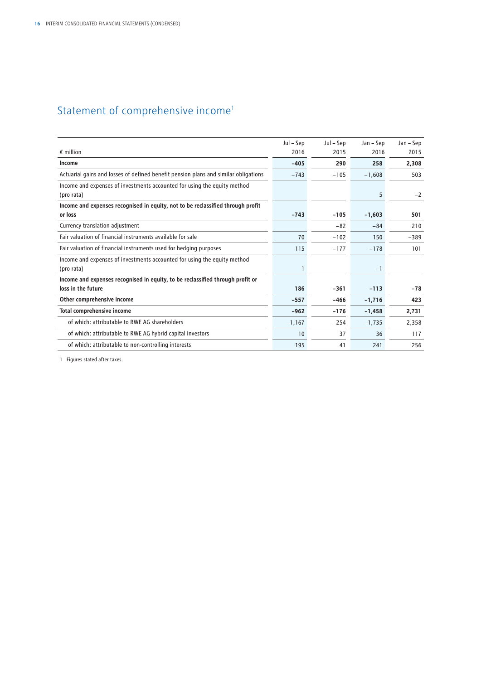## Statement of comprehensive income<sup>1</sup>

|                                                                                                      | Jul – Sep | Jul – Sep | Jan – Sep | Jan – Sep |
|------------------------------------------------------------------------------------------------------|-----------|-----------|-----------|-----------|
| $\epsilon$ million                                                                                   | 2016      | 2015      | 2016      | 2015      |
| Income                                                                                               | $-405$    | 290       | 258       | 2,308     |
| Actuarial gains and losses of defined benefit pension plans and similar obligations                  | $-743$    | $-105$    | $-1,608$  | 503       |
| Income and expenses of investments accounted for using the equity method<br>(pro rata)               |           |           | 5         | $-2$      |
| Income and expenses recognised in equity, not to be reclassified through profit                      |           |           |           |           |
| or loss                                                                                              | $-743$    | $-105$    | $-1,603$  | 501       |
| Currency translation adjustment                                                                      |           | $-82$     | $-84$     | 210       |
| Fair valuation of financial instruments available for sale                                           | 70        | $-102$    | 150       | $-389$    |
| Fair valuation of financial instruments used for hedging purposes                                    | 115       | $-177$    | $-178$    | 101       |
| Income and expenses of investments accounted for using the equity method<br>(pro rata)               | 1         |           | $-1$      |           |
|                                                                                                      |           |           |           |           |
| Income and expenses recognised in equity, to be reclassified through profit or<br>loss in the future | 186       | $-361$    | $-113$    | $-78$     |
| Other comprehensive income                                                                           | $-557$    | $-466$    | $-1,716$  | 423       |
| <b>Total comprehensive income</b>                                                                    | $-962$    | $-176$    | $-1,458$  | 2,731     |
| of which: attributable to RWE AG shareholders                                                        | $-1,167$  | $-254$    | $-1,735$  | 2.358     |
| of which: attributable to RWE AG hybrid capital investors                                            | 10        | 37        | 36        | 117       |
| of which: attributable to non-controlling interests                                                  | 195       | 41        | 241       | 256       |

1 Figures stated after taxes.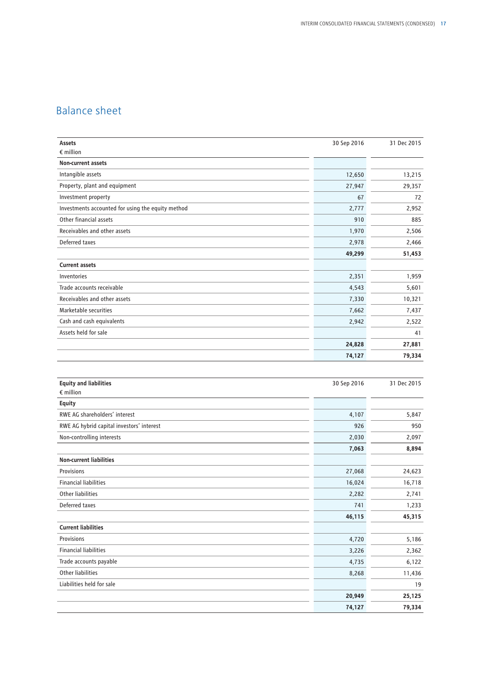## Balance sheet

| Assets<br>$\epsilon$ million                      | 30 Sep 2016 | 31 Dec 2015 |
|---------------------------------------------------|-------------|-------------|
| <b>Non-current assets</b>                         |             |             |
| Intangible assets                                 | 12,650      | 13,215      |
| Property, plant and equipment                     | 27,947      | 29,357      |
| Investment property                               | 67          | 72          |
| Investments accounted for using the equity method | 2,777       | 2,952       |
| Other financial assets                            | 910         | 885         |
| Receivables and other assets                      | 1,970       | 2,506       |
| Deferred taxes                                    | 2,978       | 2,466       |
|                                                   | 49,299      | 51,453      |
| <b>Current assets</b>                             |             |             |
| Inventories                                       | 2,351       | 1,959       |
| Trade accounts receivable                         | 4,543       | 5,601       |
| Receivables and other assets                      | 7,330       | 10,321      |
| Marketable securities                             | 7,662       | 7,437       |
| Cash and cash equivalents                         | 2,942       | 2,522       |
| Assets held for sale                              |             | 41          |
|                                                   | 24,828      | 27,881      |
|                                                   | 74,127      | 79,334      |
|                                                   |             |             |
| <b>Equity and liabilities</b>                     | 30 Sep 2016 | 31 Dec 2015 |
| $\epsilon$ million                                |             |             |
| <b>Equity</b>                                     |             |             |
| RWE AG shareholders' interest                     | 4,107       | 5,847       |
| RWE AG hybrid capital investors' interest         | 926         | 950         |
| Non-controlling interests                         | 2,030       | 2,097       |
|                                                   | 7,063       | 8,894       |
| <b>Non-current liabilities</b>                    |             |             |
| Provisions                                        | 27,068      | 24,623      |
| <b>Financial liabilities</b>                      | 16,024      | 16,718      |
| Other liabilities                                 | 2,282       | 2,741       |
| Deferred taxes                                    | 741         | 1,233       |

| <b>DETEITED LUALS</b>        |        | ر رے, ا |
|------------------------------|--------|---------|
|                              | 46,115 | 45,315  |
| <b>Current liabilities</b>   |        |         |
| Provisions                   | 4,720  | 5,186   |
| <b>Financial liabilities</b> | 3,226  | 2,362   |
| Trade accounts payable       | 4,735  | 6,122   |
| Other liabilities            | 8,268  | 11,436  |
| Liabilities held for sale    |        | 19      |
|                              | 20,949 | 25,125  |
|                              | 74,127 | 79,334  |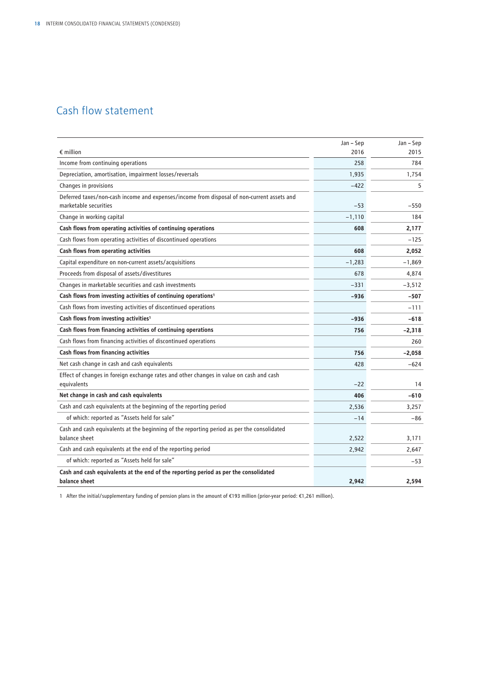## Cash flow statement

|                                                                                                                     | Jan - Sep | Jan - Sep |
|---------------------------------------------------------------------------------------------------------------------|-----------|-----------|
| $\epsilon$ million                                                                                                  | 2016      | 2015      |
| Income from continuing operations                                                                                   | 258       | 784       |
| Depreciation, amortisation, impairment losses/reversals                                                             | 1,935     | 1,754     |
| Changes in provisions                                                                                               | $-422$    | 5         |
| Deferred taxes/non-cash income and expenses/income from disposal of non-current assets and<br>marketable securities | $-53$     | $-550$    |
| Change in working capital                                                                                           | $-1,110$  | 184       |
| Cash flows from operating activities of continuing operations                                                       | 608       | 2.177     |
| Cash flows from operating activities of discontinued operations                                                     |           | $-125$    |
| Cash flows from operating activities                                                                                | 608       | 2,052     |
| Capital expenditure on non-current assets/acquisitions                                                              | $-1,283$  | $-1.869$  |
| Proceeds from disposal of assets/divestitures                                                                       | 678       | 4,874     |
| Changes in marketable securities and cash investments                                                               | $-331$    | $-3,512$  |
| Cash flows from investing activities of continuing operations <sup>1</sup>                                          | $-936$    | $-507$    |
| Cash flows from investing activities of discontinued operations                                                     |           | $-111$    |
| Cash flows from investing activities <sup>1</sup>                                                                   | $-936$    | $-618$    |
| Cash flows from financing activities of continuing operations                                                       | 756       | $-2,318$  |
| Cash flows from financing activities of discontinued operations                                                     |           | 260       |
| Cash flows from financing activities                                                                                | 756       | $-2,058$  |
| Net cash change in cash and cash equivalents                                                                        | 428       | $-624$    |
| Effect of changes in foreign exchange rates and other changes in value on cash and cash                             |           |           |
| equivalents                                                                                                         | $-22$     | 14        |
| Net change in cash and cash equivalents                                                                             | 406       | $-610$    |
| Cash and cash equivalents at the beginning of the reporting period                                                  | 2,536     | 3,257     |
| of which: reported as "Assets held for sale"                                                                        | $-14$     | -86       |
| Cash and cash equivalents at the beginning of the reporting period as per the consolidated<br>balance sheet         | 2,522     | 3.171     |
| Cash and cash equivalents at the end of the reporting period                                                        | 2,942     | 2,647     |
| of which: reported as "Assets held for sale"                                                                        |           | $-53$     |
| Cash and cash equivalents at the end of the reporting period as per the consolidated<br>balance sheet               | 2,942     | 2,594     |

1 After the initial/supplementary funding of pension plans in the amount of €193 million (prior-year period: €1,261 million).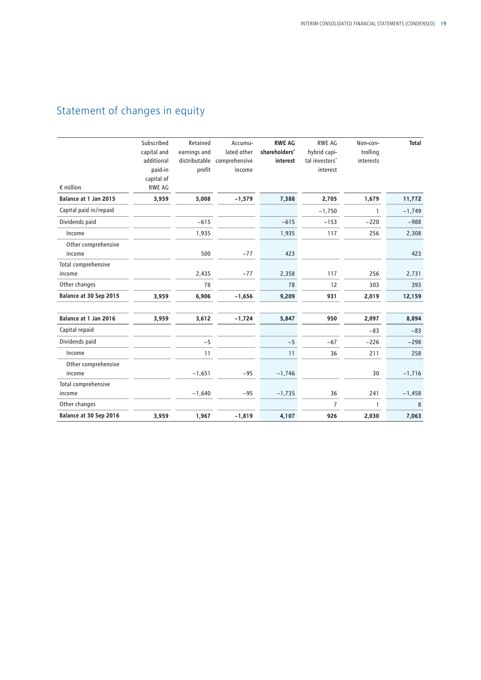## Statement of changes in equity

| $\epsilon$ million            | Subscribed<br>capital and<br>additional<br>paid-in<br>capital of<br><b>RWE AG</b> | Retained<br>earnings and<br>distributable<br>profit | Accumu-<br>lated other<br>comprehensive<br>income | <b>RWE AG</b><br>shareholders'<br>interest | RWE AG<br>hybrid capi-<br>tal investors'<br>interest | Non-con-<br>trolling<br>interests | <b>Total</b> |
|-------------------------------|-----------------------------------------------------------------------------------|-----------------------------------------------------|---------------------------------------------------|--------------------------------------------|------------------------------------------------------|-----------------------------------|--------------|
| Balance at 1 Jan 2015         | 3,959                                                                             | 5,008                                               | $-1,579$                                          | 7,388                                      | 2,705                                                | 1,679                             | 11,772       |
| Capital paid in/repaid        |                                                                                   |                                                     |                                                   |                                            | $-1,750$                                             | 1                                 | $-1,749$     |
| Dividends paid                |                                                                                   | $-615$                                              |                                                   | $-615$                                     | $-153$                                               | $-220$                            | $-988$       |
| Income                        |                                                                                   | 1,935                                               |                                                   | 1,935                                      | 117                                                  | 256                               | 2,308        |
| Other comprehensive<br>income |                                                                                   | 500                                                 | $-77$                                             | 423                                        |                                                      |                                   | 423          |
| Total comprehensive           |                                                                                   |                                                     |                                                   |                                            |                                                      |                                   |              |
| income                        |                                                                                   | 2,435                                               | $-77$                                             | 2,358                                      | 117                                                  | 256                               | 2,731        |
| Other changes                 |                                                                                   | 78                                                  |                                                   | 78                                         | 12                                                   | 303                               | 393          |
| Balance at 30 Sep 2015        | 3,959                                                                             | 6,906                                               | $-1,656$                                          | 9,209                                      | 931                                                  | 2,019                             | 12,159       |
| Balance at 1 Jan 2016         | 3,959                                                                             | 3,612                                               | $-1,724$                                          | 5,847                                      | 950                                                  | 2,097                             | 8,894        |
| Capital repaid                |                                                                                   |                                                     |                                                   |                                            |                                                      | $-83$                             | $-83$        |
| Dividends paid                |                                                                                   | $-5$                                                |                                                   | $-5$                                       | $-67$                                                | $-226$                            | $-298$       |
| Income                        |                                                                                   | 11                                                  |                                                   | 11                                         | 36                                                   | 211                               | 258          |
| Other comprehensive<br>income |                                                                                   | $-1,651$                                            | $-95$                                             | $-1,746$                                   |                                                      | 30                                | $-1,716$     |
| Total comprehensive           |                                                                                   |                                                     |                                                   |                                            |                                                      |                                   |              |
| income                        |                                                                                   | $-1,640$                                            | $-95$                                             | $-1,735$                                   | 36                                                   | 241                               | $-1,458$     |
| Other changes                 |                                                                                   |                                                     |                                                   |                                            | $\overline{7}$                                       | $\mathbf{1}$                      | 8            |
| Balance at 30 Sep 2016        | 3,959                                                                             | 1,967                                               | $-1,819$                                          | 4,107                                      | 926                                                  | 2,030                             | 7,063        |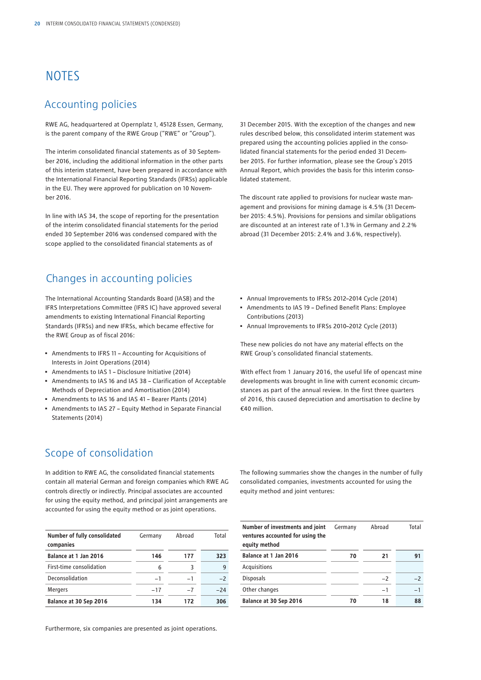## **NOTES**

## Accounting policies

RWE AG, headquartered at Opernplatz 1, 45128 Essen, Germany, is the parent company of the RWE Group ("RWE" or "Group").

The interim consolidated financial statements as of 30 September 2016, including the additional information in the other parts of this interim statement, have been prepared in accordance with the International Financial Reporting Standards (IFRSs) applicable in the EU. They were approved for publication on 10 November 2016.

In line with IAS 34, the scope of reporting for the presentation of the interim consolidated financial statements for the period ended 30 September 2016 was condensed compared with the scope applied to the consolidated financial statements as of

### Changes in accounting policies

The International Accounting Standards Board (IASB) and the IFRS Interpretations Committee (IFRS IC) have approved several amendments to existing International Financial Reporting Standards (IFRSs) and new IFRSs, which became effective for the RWE Group as of fiscal 2016:

- Amendments to IFRS 11 Accounting for Acquisitions of Interests in Joint Operations (2014)
- Amendments to IAS 1 Disclosure Initiative (2014)
- Amendments to IAS 16 and IAS 38 Clarification of Acceptable Methods of Depreciation and Amortisation (2014)
- Amendments to IAS 16 and IAS 41 Bearer Plants (2014)
- Amendments to IAS 27 Equity Method in Separate Financial Statements (2014)

31 December 2015. With the exception of the changes and new rules described below, this consolidated interim statement was prepared using the accounting policies applied in the consolidated financial statements for the period ended 31 December 2015. For further information, please see the Group's 2015 Annual Report, which provides the basis for this interim consolidated statement.

The discount rate applied to provisions for nuclear waste management and provisions for mining damage is 4.5 % (31 December 2015: 4.5 %). Provisions for pensions and similar obligations are discounted at an interest rate of 1.3 % in Germany and 2.2 % abroad (31 December 2015: 2.4 % and 3.6 %, respectively).

- Annual Improvements to IFRSs 2012–2014 Cycle (2014)
- Amendments to IAS 19 Defined Benefit Plans: Employee Contributions (2013)
- Annual Improvements to IFRSs 2010–2012 Cycle (2013)

These new policies do not have any material effects on the RWE Group's consolidated financial statements.

With effect from 1 January 2016, the useful life of opencast mine developments was brought in line with current economic circumstances as part of the annual review. In the first three quarters of 2016, this caused depreciation and amortisation to decline by €40 million.

## Scope of consolidation

In addition to RWE AG, the consolidated financial statements contain all material German and foreign companies which RWE AG controls directly or indirectly. Principal associates are accounted for using the equity method, and principal joint arrangements are accounted for using the equity method or as joint operations.

The following summaries show the changes in the number of fully consolidated companies, investments accounted for using the equity method and joint ventures:

| Number of fully consolidated<br>companies | Germany | Abroad | Total |
|-------------------------------------------|---------|--------|-------|
| Balance at 1 Jan 2016                     | 146     | 177    | 323   |
| First-time consolidation                  | 6       | 3      | q     |
| Deconsolidation                           | $-1$    | $-1$   | $-2$  |
| <b>Mergers</b>                            | $-17$   | $-7$   | $-24$ |
| Balance at 30 Sep 2016                    | 134     | 172    | 306   |

**Number of investments and joint ventures accounted for using the equity method** Germany Abroad Total **Balance at 1 Jan 2016 70 21 91** Acquisitions Disposals −2 −2 Other changes −1 −1 −1 **Balance at 30 Sep 2016 70 18 88**

Furthermore, six companies are presented as joint operations.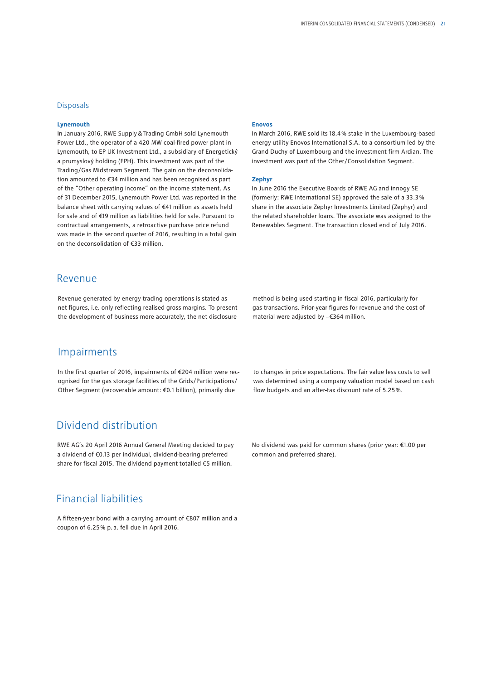### **Disposals**

#### **Lynemouth**

In January 2016, RWE Supply&Trading GmbH sold Lynemouth Power Ltd., the operator of a 420 MW coal-fired power plant in Lynemouth, to EP UK Investment Ltd., a subsidiary of Energetický a prumyslový holding (EPH). This investment was part of the Trading/Gas Midstream Segment. The gain on the deconsolidation amounted to €34 million and has been recognised as part of the "Other operating income" on the income statement. As of 31 December 2015, Lynemouth Power Ltd. was reported in the balance sheet with carrying values of €41 million as assets held for sale and of €19 million as liabilities held for sale. Pursuant to contractual arrangements, a retroactive purchase price refund was made in the second quarter of 2016, resulting in a total gain on the deconsolidation of €33 million.

#### **Enovos**

In March 2016, RWE sold its 18.4 % stake in the Luxembourg-based energy utility Enovos International S.A. to a consortium led by the Grand Duchy of Luxembourg and the investment firm Ardian. The investment was part of the Other/Consolidation Segment.

#### **Zephyr**

In June 2016 the Executive Boards of RWE AG and innogy SE (formerly: RWE International SE) approved the sale of a 33.3 % share in the associate Zephyr Investments Limited (Zephyr) and the related shareholder loans. The associate was assigned to the Renewables Segment. The transaction closed end of July 2016.

### Revenue

Revenue generated by energy trading operations is stated as net figures, i.e. only reflecting realised gross margins. To present the development of business more accurately, the net disclosure

### Impairments

In the first quarter of 2016, impairments of €204 million were recognised for the gas storage facilities of the Grids/Participations/ Other Segment (recoverable amount: €0.1 billion), primarily due

### Dividend distribution

RWE AG's 20 April 2016 Annual General Meeting decided to pay a dividend of €0.13 per individual, dividend-bearing preferred share for fiscal 2015. The dividend payment totalled €5 million.

### Financial liabilities

A fifteen-year bond with a carrying amount of €807 million and a coupon of 6.25 % p.a. fell due in April 2016.

method is being used starting in fiscal 2016, particularly for gas transactions. Prior-year figures for revenue and the cost of material were adjusted by −€364 million.

to changes in price expectations. The fair value less costs to sell was determined using a company valuation model based on cash flow budgets and an after-tax discount rate of 5.25 %.

No dividend was paid for common shares (prior year: €1.00 per common and preferred share).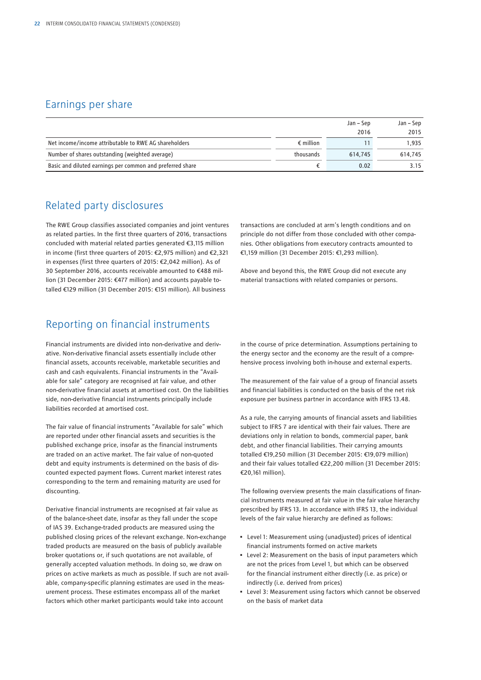## Earnings per share

|                                                           |                    | Jan – Sep | Jan – Sep |
|-----------------------------------------------------------|--------------------|-----------|-----------|
|                                                           |                    | 2016      | 2015      |
| Net income/income attributable to RWE AG shareholders     | $\epsilon$ million |           | 1.935     |
| Number of shares outstanding (weighted average)           | thousands          | 614.745   | 614.745   |
| Basic and diluted earnings per common and preferred share |                    | 0.02      | 3.15      |

### Related party disclosures

The RWE Group classifies associated companies and joint ventures as related parties. In the first three quarters of 2016, transactions concluded with material related parties generated €3,115 million in income (first three quarters of 2015: €2,975 million) and €2,321 in expenses (first three quarters of 2015: €2,042 million). As of 30 September 2016, accounts receivable amounted to €488 million (31 December 2015: €477 million) and accounts payable totalled €129 million (31 December 2015: €151 million). All business

## Reporting on financial instruments

Financial instruments are divided into non-derivative and derivative. Non-derivative financial assets essentially include other financial assets, accounts receivable, marketable securities and cash and cash equivalents. Financial instruments in the "Available for sale" category are recognised at fair value, and other non-derivative financial assets at amortised cost. On the liabilities side, non-derivative financial instruments principally include liabilities recorded at amortised cost.

The fair value of financial instruments "Available for sale" which are reported under other financial assets and securities is the published exchange price, insofar as the financial instruments are traded on an active market. The fair value of non-quoted debt and equity instruments is determined on the basis of discounted expected payment flows. Current market interest rates corresponding to the term and remaining maturity are used for discounting.

Derivative financial instruments are recognised at fair value as of the balance-sheet date, insofar as they fall under the scope of IAS 39. Exchange-traded products are measured using the published closing prices of the relevant exchange. Non-exchange traded products are measured on the basis of publicly available broker quotations or, if such quotations are not available, of generally accepted valuation methods. In doing so, we draw on prices on active markets as much as possible. If such are not available, company-specific planning estimates are used in the measurement process. These estimates encompass all of the market factors which other market participants would take into account

transactions are concluded at arm's length conditions and on principle do not differ from those concluded with other companies. Other obligations from executory contracts amounted to €1,159 million (31 December 2015: €1,293 million).

Above and beyond this, the RWE Group did not execute any material transactions with related companies or persons.

in the course of price determination. Assumptions pertaining to the energy sector and the economy are the result of a comprehensive process involving both in-house and external experts.

The measurement of the fair value of a group of financial assets and financial liabilities is conducted on the basis of the net risk exposure per business partner in accordance with IFRS 13.48.

As a rule, the carrying amounts of financial assets and liabilities subject to IFRS 7 are identical with their fair values. There are deviations only in relation to bonds, commercial paper, bank debt, and other financial liabilities. Their carrying amounts totalled €19,250 million (31 December 2015: €19,079 million) and their fair values totalled €22,200 million (31 December 2015: €20,161 million).

The following overview presents the main classifications of financial instruments measured at fair value in the fair value hierarchy prescribed by IFRS 13. In accordance with IFRS 13, the individual levels of the fair value hierarchy are defined as follows:

- Level 1: Measurement using (unadjusted) prices of identical financial instruments formed on active markets
- Level 2: Measurement on the basis of input parameters which are not the prices from Level 1, but which can be observed for the financial instrument either directly (i.e. as price) or indirectly (i.e. derived from prices)
- Level 3: Measurement using factors which cannot be observed on the basis of market data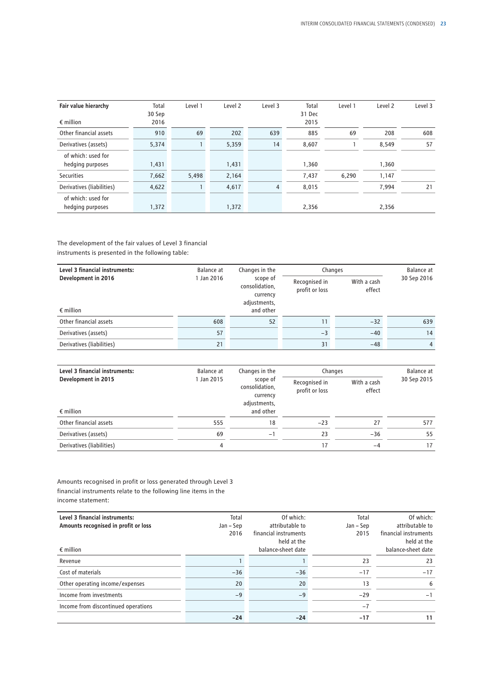| Fair value hierarchy      | Total<br>30 Sep | Level 1 | Level 2 | Level 3        | Total<br>31 Dec | Level 1 | Level <sub>2</sub> | Level 3 |
|---------------------------|-----------------|---------|---------|----------------|-----------------|---------|--------------------|---------|
| $\epsilon$ million        | 2016            |         |         |                | 2015            |         |                    |         |
| Other financial assets    | 910             | 69      | 202     | 639            | 885             | 69      | 208                | 608     |
| Derivatives (assets)      | 5,374           |         | 5,359   | 14             | 8,607           |         | 8,549              | 57      |
| of which: used for        |                 |         |         |                |                 |         |                    |         |
| hedging purposes          | 1,431           |         | 1,431   |                | 1,360           |         | 1,360              |         |
| <b>Securities</b>         | 7,662           | 5,498   | 2,164   |                | 7,437           | 6,290   | 1,147              |         |
| Derivatives (liabilities) | 4,622           |         | 4,617   | $\overline{4}$ | 8,015           |         | 7,994              | 21      |
| of which: used for        |                 |         |         |                |                 |         |                    |         |
| hedging purposes          | 1,372           |         | 1,372   |                | 2,356           |         | 2,356              |         |

### The development of the fair values of Level 3 financial instruments is presented in the following table:

| Level 3 financial instruments: | Balance at                                                           | Changes in the | Changes                                                  | Balance at |             |  |
|--------------------------------|----------------------------------------------------------------------|----------------|----------------------------------------------------------|------------|-------------|--|
| Development in 2016            | 1 Jan 2016<br>scope of<br>consolidation,<br>currency<br>adjustments, |                | With a cash<br>Recognised in<br>profit or loss<br>effect |            | 30 Sep 2016 |  |
| $\epsilon$ million             |                                                                      | and other      |                                                          |            |             |  |
| Other financial assets         | 608                                                                  | 52             |                                                          | $-32$      | 639         |  |
| Derivatives (assets)           | 57                                                                   |                | $-3$                                                     | $-40$      | 14          |  |
| Derivatives (liabilities)      | 21                                                                   |                | 31                                                       | $-48$      | 4           |  |

| Level 3 financial instruments: | Balance at                                           | Changes in the | Changes                         | Balance at            |             |
|--------------------------------|------------------------------------------------------|----------------|---------------------------------|-----------------------|-------------|
| Development in 2015            | 1 Jan 2015<br>scope of<br>consolidation,<br>currency | adjustments,   | Recognised in<br>profit or loss | With a cash<br>effect | 30 Sep 2015 |
| $\epsilon$ million             |                                                      | and other      |                                 |                       |             |
| Other financial assets         | 555                                                  | 18             | $-23$                           | 27                    | 577         |
| Derivatives (assets)           | 69                                                   | -1             | 23                              | $-36$                 | 55          |
| Derivatives (liabilities)      | 4                                                    |                |                                 | $-4$                  | 17          |

Amounts recognised in profit or loss generated through Level 3 financial instruments relate to the following line items in the income statement:

| Level 3 financial instruments:<br>Amounts recognised in profit or loss | Total<br>Jan – Sep | Of which:<br>attributable to         | Total<br>Jan – Sep | Of which:<br>attributable to         |
|------------------------------------------------------------------------|--------------------|--------------------------------------|--------------------|--------------------------------------|
|                                                                        | 2016               | financial instruments<br>held at the | 2015               | financial instruments<br>held at the |
| $\epsilon$ million                                                     |                    | balance-sheet date                   |                    | balance-sheet date                   |
| Revenue                                                                |                    |                                      | 23                 | 23                                   |
| Cost of materials                                                      | $-36$              | $-36$                                | $-17$              | $-17$                                |
| Other operating income/expenses                                        | 20                 | 20                                   | 13                 | 6                                    |
| Income from investments                                                | $-9$               | $-9$                                 | $-29$              | $-1$                                 |
| Income from discontinued operations                                    |                    |                                      | $-7$               |                                      |
|                                                                        | $-24$              | $-24$                                | -17                | 11                                   |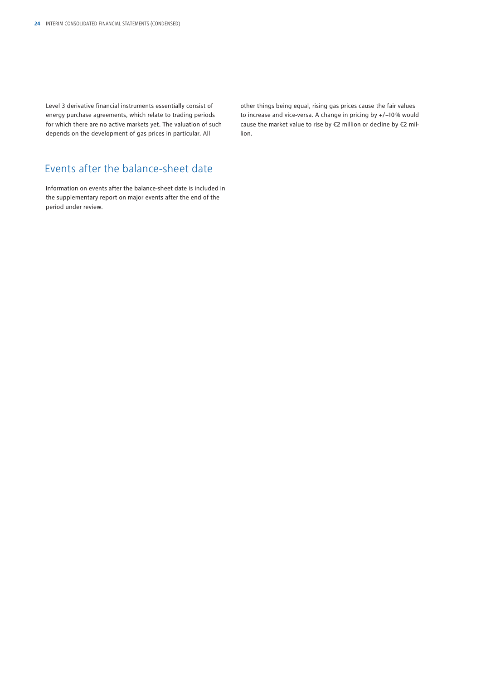Level 3 derivative financial instruments essentially consist of energy purchase agreements, which relate to trading periods for which there are no active markets yet. The valuation of such depends on the development of gas prices in particular. All

other things being equal, rising gas prices cause the fair values to increase and vice-versa. A change in pricing by +/−10 % would cause the market value to rise by €2 million or decline by €2 million.

## Events after the balance-sheet date

Information on events after the balance-sheet date is included in the supplementary report on major events after the end of the period under review.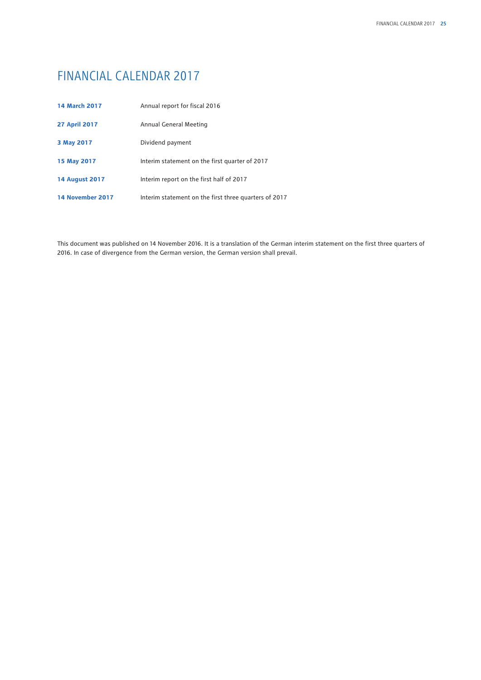## FINANCIAL CALENDAR 2017

| <b>14 March 2017</b>  | Annual report for fiscal 2016                         |  |  |
|-----------------------|-------------------------------------------------------|--|--|
| <b>27 April 2017</b>  | Annual General Meeting                                |  |  |
| 3 May 2017            | Dividend payment                                      |  |  |
| 15 May 2017           | Interim statement on the first quarter of 2017        |  |  |
| <b>14 August 2017</b> | Interim report on the first half of 2017              |  |  |
| 14 November 2017      | Interim statement on the first three quarters of 2017 |  |  |

This document was published on 14 November 2016. It is a translation of the German interim statement on the first three quarters of 2016. In case of divergence from the German version, the German version shall prevail.